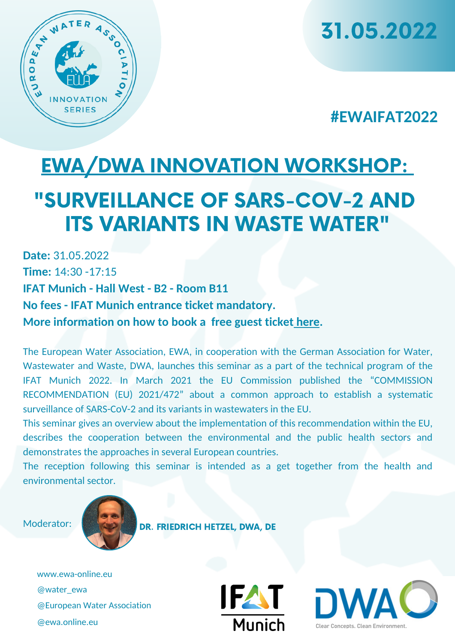

31.05.2022

## **#EWAIFAT2022**

# EWA/DWA INNOVATION [WORKSHOP:](https://www.ewa-online.eu/calendar-detail/events/Surveillance_of_SARS-CoV-2.html) "SURVEILLANCE OF SARS-COV-2 AND ITS VARIANTS IN WASTE WATER"

**Date:** 31.05.2022 **Time:** 14:30 -17:15 **IFAT Munich - Hall West - B2 - Room B11 No fees - IFAT Munich entrance ticket mandatory. More information on how to book a free guest ticket [here](https://www.ewa-online.eu/calendar-detail/events/ifat-2022.html).**

The European Water Association, EWA, in cooperation with the German Association for Water, Wastewater and Waste, DWA, launches this seminar as a part of the technical program of the IFAT Munich 2022. In March 2021 the EU Commission published the "COMMISSION RECOMMENDATION (EU) 2021/472" about a common approach to establish a systematic surveillance of SARS-CoV-2 and its variants in wastewaters in the EU.

This seminar gives an overview about the implementation of this recommendation within the EU, describes the cooperation between the environmental and the public health sectors and demonstrates the approaches in several European countries.

The reception following this seminar is intended as a get together from the health and environmental sector.

Moderator:



DR. FRIEDRICH HETZEL, DWA, DE

www.ewa-online.eu @water\_ewa @European Water Association @ewa.online.eu